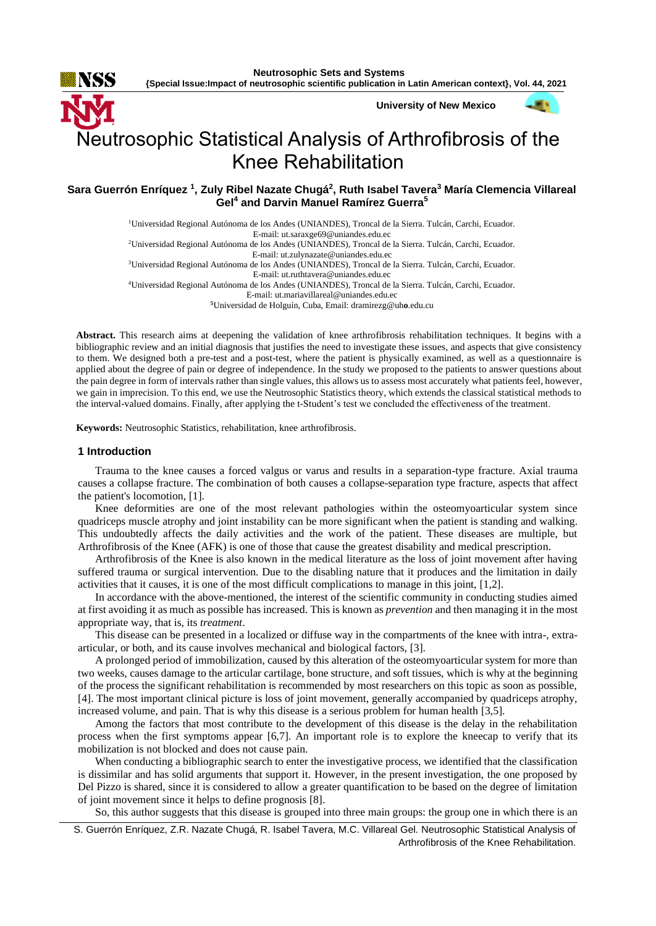**University of New Mexico**

# Neutrosophic Statistical Analysis of Arthrofibrosis of the Knee Rehabilitation

**Sara Guerrón Enríquez <sup>1</sup> , Zuly Ribel Nazate Chugá<sup>2</sup> , Ruth Isabel Tavera<sup>3</sup> María Clemencia Villareal Gel<sup>4</sup> and Darvin Manuel Ramírez Guerra<sup>5</sup>**

<sup>1</sup>Universidad Regional Autónoma de los Andes (UNIANDES), Troncal de la Sierra. Tulcán, Carchi, Ecuador.

E-mail: [ut.saraxge69@uniandes.edu.ec](mailto:ut.saraxge69@uniandes.edu.ec)

<sup>2</sup>Universidad Regional Autónoma de los Andes (UNIANDES), Troncal de la Sierra. Tulcán, Carchi, Ecuador.

E-mail: [ut.zulynazate@uniandes.edu.ec](mailto:ut.zulynazate@uniandes.edu.ec)

<sup>3</sup>Universidad Regional Autónoma de los Andes (UNIANDES), Troncal de la Sierra. Tulcán, Carchi, Ecuador. E-mail: [ut.ruthtavera@uniandes.edu.ec](mailto:ut.ruthtavera@uniandes.edu.ec)

<sup>4</sup>Universidad Regional Autónoma de los Andes (UNIANDES), Troncal de la Sierra. Tulcán, Carchi, Ecuador.

E-mail: [ut.mariavillareal@uniandes.edu.ec](mailto:ut.mariavillareal@uniandes.edu.ec) **<sup>5</sup>**Universidad de Holguín, Cuba, Email: [dramirezg@uh](mailto:dramirezg@uho.edu.cu)**o**.edu.cu

**Abstract.** This research aims at deepening the validation of knee arthrofibrosis rehabilitation techniques. It begins with a bibliographic review and an initial diagnosis that justifies the need to investigate these issues, and aspects that give consistency to them. We designed both a pre-test and a post-test, where the patient is physically examined, as well as a questionnaire is applied about the degree of pain or degree of independence. In the study we proposed to the patients to answer questions about the pain degree in form of intervals rather than single values, this allows us to assess most accurately what patients feel, however, we gain in imprecision. To this end, we use the Neutrosophic Statistics theory, which extends the classical statistical methods to the interval-valued domains. Finally, after applying the t-Student's test we concluded the effectiveness of the treatment.

**Keywords:** Neutrosophic Statistics, rehabilitation, knee arthrofibrosis.

# **1 Introduction**

Trauma to the knee causes a forced valgus or varus and results in a separation-type fracture. Axial trauma causes a collapse fracture. The combination of both causes a collapse-separation type fracture, aspects that affect the patient's locomotion, [1].

Knee deformities are one of the most relevant pathologies within the osteomyoarticular system since quadriceps muscle atrophy and joint instability can be more significant when the patient is standing and walking. This undoubtedly affects the daily activities and the work of the patient. These diseases are multiple, but Arthrofibrosis of the Knee (AFK) is one of those that cause the greatest disability and medical prescription.

Arthrofibrosis of the Knee is also known in the medical literature as the loss of joint movement after having suffered trauma or surgical intervention. Due to the disabling nature that it produces and the limitation in daily activities that it causes, it is one of the most difficult complications to manage in this joint, [1,2].

In accordance with the above-mentioned, the interest of the scientific community in conducting studies aimed at first avoiding it as much as possible has increased. This is known as *prevention* and then managing it in the most appropriate way, that is, its *treatment*.

This disease can be presented in a localized or diffuse way in the compartments of the knee with intra-, extraarticular, or both, and its cause involves mechanical and biological factors, [3].

A prolonged period of immobilization, caused by this alteration of the osteomyoarticular system for more than two weeks, causes damage to the articular cartilage, bone structure, and soft tissues, which is why at the beginning of the process the significant rehabilitation is recommended by most researchers on this topic as soon as possible, [4]. The most important clinical picture is loss of joint movement, generally accompanied by quadriceps atrophy, increased volume, and pain. That is why this disease is a serious problem for human health [3,5].

Among the factors that most contribute to the development of this disease is the delay in the rehabilitation process when the first symptoms appear [6,7]. An important role is to explore the kneecap to verify that its mobilization is not blocked and does not cause pain.

When conducting a bibliographic search to enter the investigative process, we identified that the classification is dissimilar and has solid arguments that support it. However, in the present investigation, the one proposed by Del Pizzo is shared, since it is considered to allow a greater quantification to be based on the degree of limitation of joint movement since it helps to define prognosis [8].

So, this author suggests that this disease is grouped into three main groups: the group one in which there is an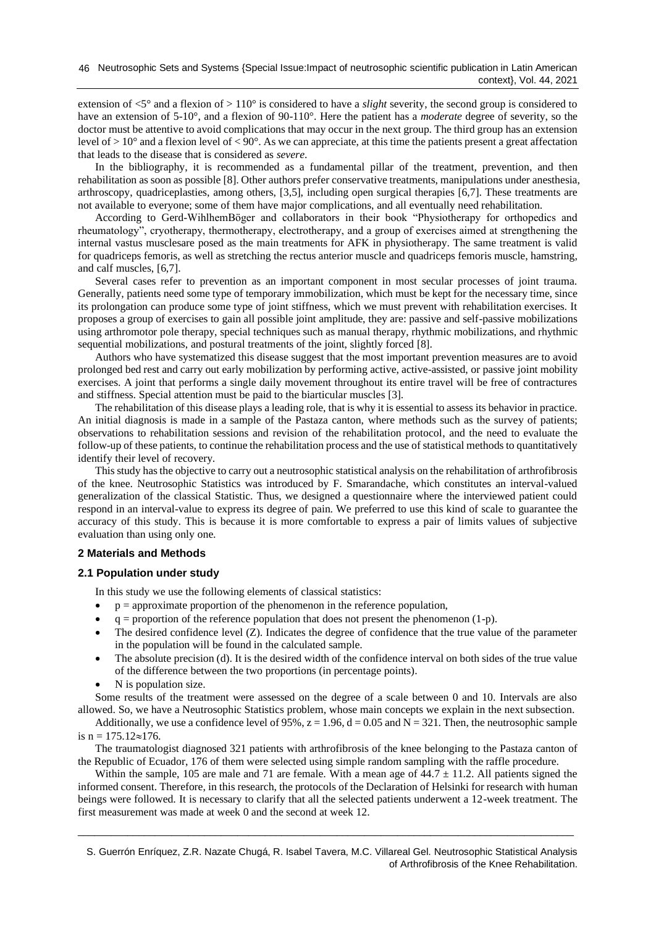extension of <5° and a flexion of > 110° is considered to have a *slight* severity, the second group is considered to have an extension of 5-10°, and a flexion of 90-110°. Here the patient has a *moderate* degree of severity, so the doctor must be attentive to avoid complications that may occur in the next group. The third group has an extension level of  $> 10^{\circ}$  and a flexion level of  $< 90^{\circ}$ . As we can appreciate, at this time the patients present a great affectation that leads to the disease that is considered as *severe*.

In the bibliography, it is recommended as a fundamental pillar of the treatment, prevention, and then rehabilitation as soon as possible [8]. Other authors prefer conservative treatments, manipulations under anesthesia, arthroscopy, quadriceplasties, among others, [3,5], including open surgical therapies [6,7]. These treatments are not available to everyone; some of them have major complications, and all eventually need rehabilitation.

According to Gerd-WihlhemBöger and collaborators in their book "Physiotherapy for orthopedics and rheumatology", cryotherapy, thermotherapy, electrotherapy, and a group of exercises aimed at strengthening the internal vastus musclesare posed as the main treatments for AFK in physiotherapy. The same treatment is valid for quadriceps femoris, as well as stretching the rectus anterior muscle and quadriceps femoris muscle, hamstring, and calf muscles, [6,7].

Several cases refer to prevention as an important component in most secular processes of joint trauma. Generally, patients need some type of temporary immobilization, which must be kept for the necessary time, since its prolongation can produce some type of joint stiffness, which we must prevent with rehabilitation exercises. It proposes a group of exercises to gain all possible joint amplitude, they are: passive and self-passive mobilizations using arthromotor pole therapy, special techniques such as manual therapy, rhythmic mobilizations, and rhythmic sequential mobilizations, and postural treatments of the joint, slightly forced [8].

Authors who have systematized this disease suggest that the most important prevention measures are to avoid prolonged bed rest and carry out early mobilization by performing active, active-assisted, or passive joint mobility exercises. A joint that performs a single daily movement throughout its entire travel will be free of contractures and stiffness. Special attention must be paid to the biarticular muscles [3].

The rehabilitation of this disease plays a leading role, that is why it is essential to assess its behavior in practice. An initial diagnosis is made in a sample of the Pastaza canton, where methods such as the survey of patients; observations to rehabilitation sessions and revision of the rehabilitation protocol, and the need to evaluate the follow-up of these patients, to continue the rehabilitation process and the use of statistical methods to quantitatively identify their level of recovery.

This study has the objective to carry out a neutrosophic statistical analysis on the rehabilitation of arthrofibrosis of the knee. Neutrosophic Statistics was introduced by F. Smarandache, which constitutes an interval-valued generalization of the classical Statistic. Thus, we designed a questionnaire where the interviewed patient could respond in an interval-value to express its degree of pain. We preferred to use this kind of scale to guarantee the accuracy of this study. This is because it is more comfortable to express a pair of limits values of subjective evaluation than using only one.

# **2 Materials and Methods**

# **2.1 Population under study**

In this study we use the following elements of classical statistics:

- $\bullet$   $p =$  approximate proportion of the phenomenon in the reference population,
- $q =$  proportion of the reference population that does not present the phenomenon (1-p).
- The desired confidence level  $(Z)$ . Indicates the degree of confidence that the true value of the parameter in the population will be found in the calculated sample.
- The absolute precision (d). It is the desired width of the confidence interval on both sides of the true value of the difference between the two proportions (in percentage points).
- N is population size.

Some results of the treatment were assessed on the degree of a scale between 0 and 10. Intervals are also allowed. So, we have a Neutrosophic Statistics problem, whose main concepts we explain in the next subsection.

Additionally, we use a confidence level of 95%,  $z = 1.96$ ,  $d = 0.05$  and  $N = 321$ . Then, the neutrosophic sample is  $n = 175.12 \approx 176$ .

The traumatologist diagnosed 321 patients with arthrofibrosis of the knee belonging to the Pastaza canton of the Republic of Ecuador, 176 of them were selected using simple random sampling with the raffle procedure.

Within the sample, 105 are male and 71 are female. With a mean age of  $44.7 \pm 11.2$ . All patients signed the informed consent. Therefore, in this research, the protocols of the Declaration of Helsinki for research with human beings were followed. It is necessary to clarify that all the selected patients underwent a 12-week treatment. The first measurement was made at week 0 and the second at week 12.

\_\_\_\_\_\_\_\_\_\_\_\_\_\_\_\_\_\_\_\_\_\_\_\_\_\_\_\_\_\_\_\_\_\_\_\_\_\_\_\_\_\_\_\_\_\_\_\_\_\_\_\_\_\_\_\_\_\_\_\_\_\_\_\_\_\_\_\_\_\_\_\_\_\_\_\_\_\_\_\_\_\_\_\_\_\_\_\_\_\_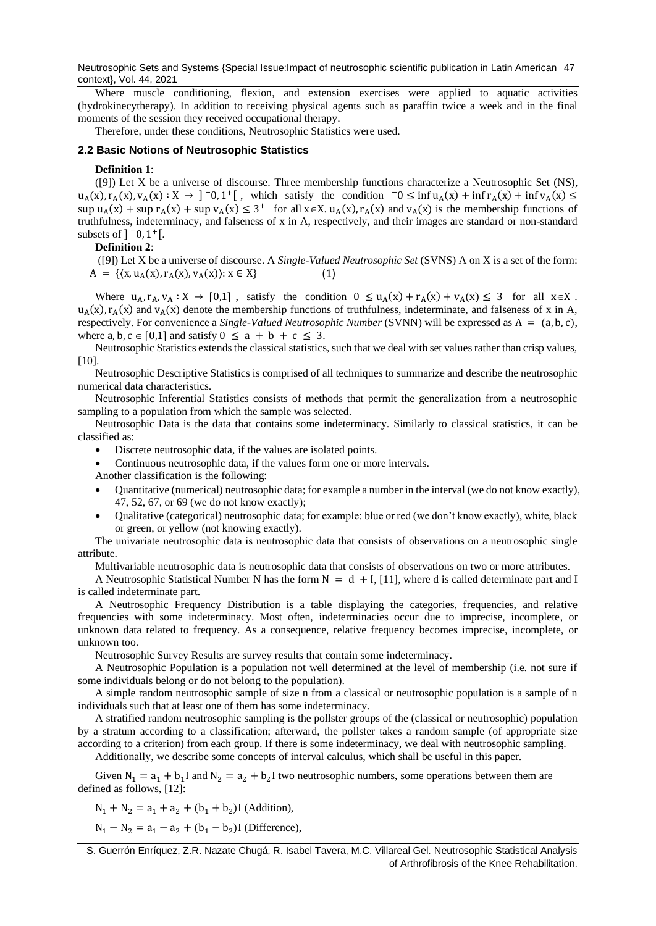Neutrosophic Sets and Systems {Special Issue:Impact of neutrosophic scientific publication in Latin American 47 context}, Vol. 44, 2021

Where muscle conditioning, flexion, and extension exercises were applied to aquatic activities (hydrokinecytherapy). In addition to receiving physical agents such as paraffin twice a week and in the final moments of the session they received occupational therapy.

Therefore, under these conditions, Neutrosophic Statistics were used.

# **2.2 Basic Notions of Neutrosophic Statistics**

#### **Definition 1**:

([9]) Let X be a universe of discourse. Three membership functions characterize a Neutrosophic Set (NS),  $u_A(x), r_A(x), v_A(x) : X \to ]^-0, 1^+[$ , which satisfy the condition  $0 \le \inf u_A(x) + \inf r_A(x) + \inf v_A(x) \le$  $\sup u_A(x) + \sup r_A(x) + \sup v_A(x) \leq 3^+$  for all  $x \in X$ .  $u_A(x)$ ,  $r_A(x)$  and  $v_A(x)$  is the membership functions of truthfulness, indeterminacy, and falseness of x in A, respectively, and their images are standard or non-standard subsets of  $]$   $\overline{0}$ ,  $1 +$ [.

#### **Definition 2**:

([9]) Let X be a universe of discourse. A *Single-Valued Neutrosophic Set* (SVNS) A on X is a set of the form:  $A = \{(x, u_A(x), r_A(x), v_A(x)) : x \in X\}$  (1)

Where  $u_A, r_A, v_A : X \to [0,1]$ , satisfy the condition  $0 \le u_A(x) + r_A(x) + v_A(x) \le 3$  for all  $x \in X$ .  $u_A(x)$ ,  $r_A(x)$  and  $v_A(x)$  denote the membership functions of truthfulness, indeterminate, and falseness of x in A, respectively. For convenience a *Single-Valued Neutrosophic Number* (SVNN) will be expressed as A = (a, b, c), where a, b,  $c \in [0,1]$  and satisfy  $0 \le a + b + c \le 3$ .

Neutrosophic Statistics extends the classical statistics, such that we deal with set values rather than crisp values,  $[10]$ .

Neutrosophic Descriptive Statistics is comprised of all techniques to summarize and describe the neutrosophic numerical data characteristics.

Neutrosophic Inferential Statistics consists of methods that permit the generalization from a neutrosophic sampling to a population from which the sample was selected.

Neutrosophic Data is the data that contains some indeterminacy. Similarly to classical statistics, it can be classified as:

• Discrete neutrosophic data, if the values are isolated points.

• Continuous neutrosophic data, if the values form one or more intervals.

Another classification is the following:

- Quantitative (numerical) neutrosophic data; for example a number in the interval (we do not know exactly), 47, 52, 67, or 69 (we do not know exactly);
- Qualitative (categorical) neutrosophic data; for example: blue or red (we don't know exactly), white, black or green, or yellow (not knowing exactly).

The univariate neutrosophic data is neutrosophic data that consists of observations on a neutrosophic single attribute.

Multivariable neutrosophic data is neutrosophic data that consists of observations on two or more attributes.

A Neutrosophic Statistical Number N has the form  $N = d + I$ , [11], where d is called determinate part and I is called indeterminate part.

A Neutrosophic Frequency Distribution is a table displaying the categories, frequencies, and relative frequencies with some indeterminacy. Most often, indeterminacies occur due to imprecise, incomplete, or unknown data related to frequency. As a consequence, relative frequency becomes imprecise, incomplete, or unknown too.

Neutrosophic Survey Results are survey results that contain some indeterminacy.

A Neutrosophic Population is a population not well determined at the level of membership (i.e. not sure if some individuals belong or do not belong to the population).

A simple random neutrosophic sample of size n from a classical or neutrosophic population is a sample of n individuals such that at least one of them has some indeterminacy.

A stratified random neutrosophic sampling is the pollster groups of the (classical or neutrosophic) population by a stratum according to a classification; afterward, the pollster takes a random sample (of appropriate size according to a criterion) from each group. If there is some indeterminacy, we deal with neutrosophic sampling.

Additionally, we describe some concepts of interval calculus, which shall be useful in this paper.

Given  $N_1 = a_1 + b_1 I$  and  $N_2 = a_2 + b_2 I$  two neutrosophic numbers, some operations between them are defined as follows, [12]:

 $N_1 + N_2 = a_1 + a_2 + (b_1 + b_2)$ I (Addition),

 $N_1 - N_2 = a_1 - a_2 + (b_1 - b_2)$ I (Difference),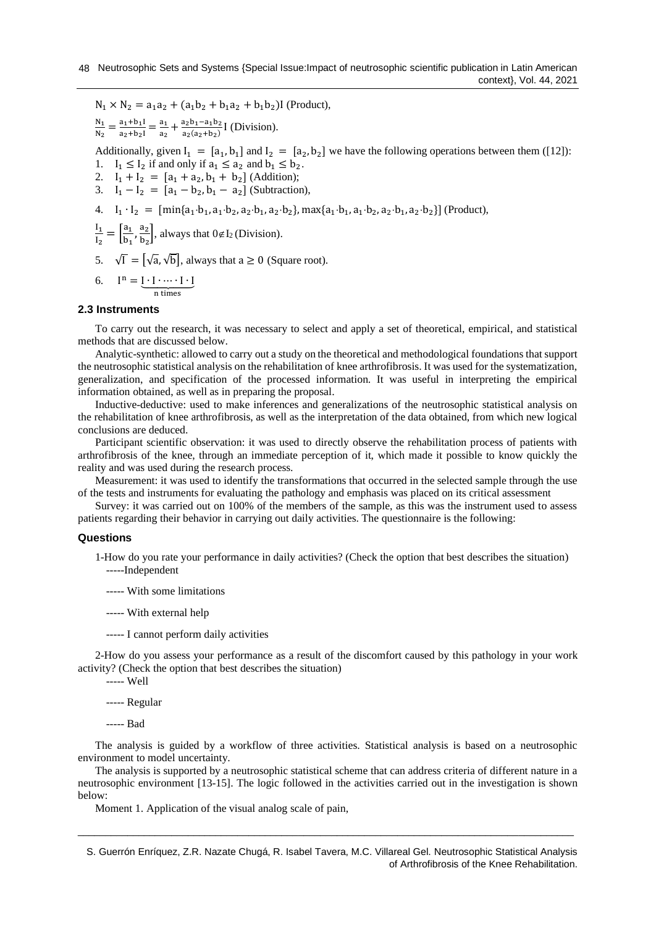$N_1 \times N_2 = a_1 a_2 + (a_1 b_2 + b_1 a_2 + b_1 b_2)$ I (Product),

 $N_{1}$  $\frac{N_1}{N_2} = \frac{a_1 + b_1 I}{a_2 + b_2 I}$  $\frac{a_1+b_1I}{a_2+b_2I} = \frac{a_1}{a_2}$  $\frac{a_1}{a_2} + \frac{a_2b_1 - a_1b_2}{a_2(a_2 + b_2)}$  $\frac{a_2b_1-a_1b_2}{a_2(a_2+b_2)}$  [ (Division).

Additionally, given  $I_1 = [a_1, b_1]$  and  $I_2 = [a_2, b_2]$  we have the following operations between them ([12]): 1.  $I_1 \leq I_2$  if and only if  $a_1 \leq a_2$  and  $b_1 \leq b_2$ .

- 2.  $I_1 + I_2 = [a_1 + a_2, b_1 + b_2]$  (Addition);
- 3.  $I_1 I_2 = [a_1 b_2, b_1 a_2]$  (Subtraction),
- 4.  $I_1 \cdot I_2 = [\min\{a_1 \cdot b_1, a_1 \cdot b_2, a_2 \cdot b_1, a_2 \cdot b_2\}, \max\{a_1 \cdot b_1, a_1 \cdot b_2, a_2 \cdot b_1, a_2 \cdot b_2\}]$  (Product),

$$
\frac{I_1}{I_2} = \left[\frac{a_1}{b_1}, \frac{a_2}{b_2}\right], \text{always that } 0 \notin I_2 \text{ (Division)}.
$$

5.  $\sqrt{I} = [\sqrt{a}, \sqrt{b}]$ , always that  $a \ge 0$  (Square root).

6. 
$$
I^{n} = \underbrace{I \cdot I \cdot \cdots \cdot I \cdot I}_{n \text{ times}}
$$

# **2.3 Instruments**

To carry out the research, it was necessary to select and apply a set of theoretical, empirical, and statistical methods that are discussed below.

Analytic-synthetic: allowed to carry out a study on the theoretical and methodological foundations that support the neutrosophic statistical analysis on the rehabilitation of knee arthrofibrosis. It was used for the systematization, generalization, and specification of the processed information. It was useful in interpreting the empirical information obtained, as well as in preparing the proposal.

Inductive-deductive: used to make inferences and generalizations of the neutrosophic statistical analysis on the rehabilitation of knee arthrofibrosis, as well as the interpretation of the data obtained, from which new logical conclusions are deduced.

Participant scientific observation: it was used to directly observe the rehabilitation process of patients with arthrofibrosis of the knee, through an immediate perception of it, which made it possible to know quickly the reality and was used during the research process.

Measurement: it was used to identify the transformations that occurred in the selected sample through the use of the tests and instruments for evaluating the pathology and emphasis was placed on its critical assessment

Survey: it was carried out on 100% of the members of the sample, as this was the instrument used to assess patients regarding their behavior in carrying out daily activities. The questionnaire is the following:

## **Questions**

- 1-How do you rate your performance in daily activities? (Check the option that best describes the situation) -----Independent
	- ----- With some limitations
	- ----- With external help
	- ----- I cannot perform daily activities

2-How do you assess your performance as a result of the discomfort caused by this pathology in your work activity? (Check the option that best describes the situation)

- ----- Well
- ----- Regular
- ----- Bad

The analysis is guided by a workflow of three activities. Statistical analysis is based on a neutrosophic environment to model uncertainty.

The analysis is supported by a neutrosophic statistical scheme that can address criteria of different nature in a neutrosophic environment [13-15]. The logic followed in the activities carried out in the investigation is shown below:

\_\_\_\_\_\_\_\_\_\_\_\_\_\_\_\_\_\_\_\_\_\_\_\_\_\_\_\_\_\_\_\_\_\_\_\_\_\_\_\_\_\_\_\_\_\_\_\_\_\_\_\_\_\_\_\_\_\_\_\_\_\_\_\_\_\_\_\_\_\_\_\_\_\_\_\_\_\_\_\_\_\_\_\_\_\_\_\_\_\_

Moment 1. Application of the visual analog scale of pain,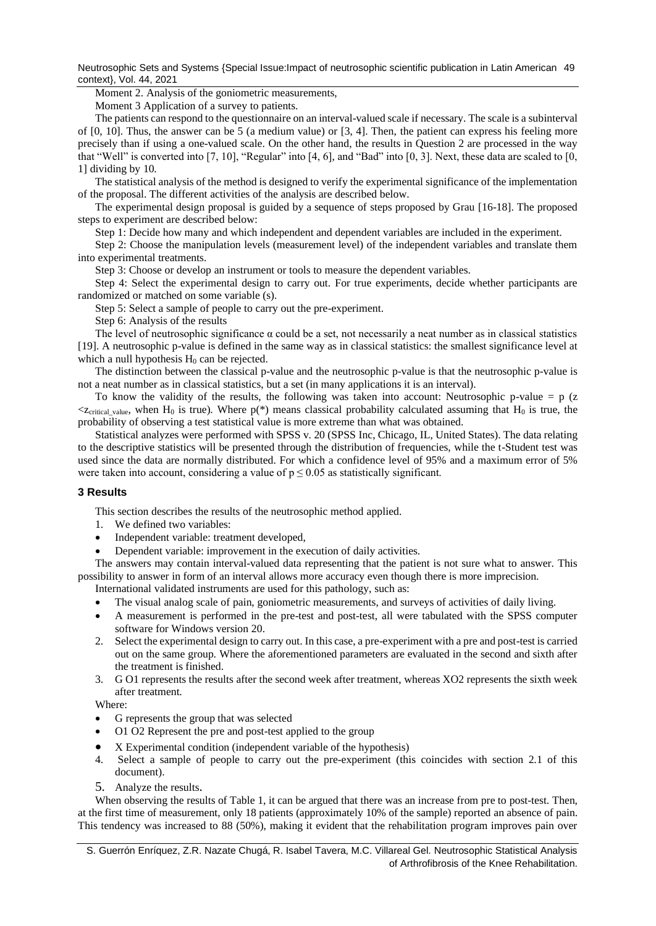Neutrosophic Sets and Systems {Special Issue:Impact of neutrosophic scientific publication in Latin American 49 context}, Vol. 44, 2021

Moment 2. Analysis of the goniometric measurements,

Moment 3 Application of a survey to patients.

The patients can respond to the questionnaire on an interval-valued scale if necessary. The scale is a subinterval of [0, 10]. Thus, the answer can be 5 (a medium value) or [3, 4]. Then, the patient can express his feeling more precisely than if using a one-valued scale. On the other hand, the results in Question 2 are processed in the way that "Well" is converted into [7, 10], "Regular" into [4, 6], and "Bad" into [0, 3]. Next, these data are scaled to [0, 1] dividing by 10.

The statistical analysis of the method is designed to verify the experimental significance of the implementation of the proposal. The different activities of the analysis are described below.

The experimental design proposal is guided by a sequence of steps proposed by Grau [16-18]. The proposed steps to experiment are described below:

Step 1: Decide how many and which independent and dependent variables are included in the experiment.

Step 2: Choose the manipulation levels (measurement level) of the independent variables and translate them into experimental treatments.

Step 3: Choose or develop an instrument or tools to measure the dependent variables.

Step 4: Select the experimental design to carry out. For true experiments, decide whether participants are randomized or matched on some variable (s).

Step 5: Select a sample of people to carry out the pre-experiment.

Step 6: Analysis of the results

The level of neutrosophic significance  $\alpha$  could be a set, not necessarily a neat number as in classical statistics [19]. A neutrosophic p-value is defined in the same way as in classical statistics: the smallest significance level at which a null hypothesis  $H_0$  can be rejected.

The distinction between the classical p-value and the neutrosophic p-value is that the neutrosophic p-value is not a neat number as in classical statistics, but a set (in many applications it is an interval).

To know the validity of the results, the following was taken into account: Neutrosophic p-value = p  $(z$  $\langle z_{\text{critical value}}$ , when H<sub>0</sub> is true). Where p(\*) means classical probability calculated assuming that H<sub>0</sub> is true, the probability of observing a test statistical value is more extreme than what was obtained.

Statistical analyzes were performed with SPSS v. 20 (SPSS Inc, Chicago, IL, United States). The data relating to the descriptive statistics will be presented through the distribution of frequencies, while the t-Student test was used since the data are normally distributed. For which a confidence level of 95% and a maximum error of 5% were taken into account, considering a value of  $p \le 0.05$  as statistically significant.

## **3 Results**

This section describes the results of the neutrosophic method applied.

- 1. We defined two variables:
- Independent variable: treatment developed,
- Dependent variable: improvement in the execution of daily activities.

The answers may contain interval-valued data representing that the patient is not sure what to answer. This possibility to answer in form of an interval allows more accuracy even though there is more imprecision.

International validated instruments are used for this pathology, such as:

- The visual analog scale of pain, goniometric measurements, and surveys of activities of daily living.
- A measurement is performed in the pre-test and post-test, all were tabulated with the SPSS computer software for Windows version 20.
- 2. Select the experimental design to carry out. In this case, a pre-experiment with a pre and post-test is carried out on the same group. Where the aforementioned parameters are evaluated in the second and sixth after the treatment is finished.
- 3. G O1 represents the results after the second week after treatment, whereas XO2 represents the sixth week after treatment.

Where:

- G represents the group that was selected
- O1 O2 Represent the pre and post-test applied to the group
- X Experimental condition (independent variable of the hypothesis)
- 4. Select a sample of people to carry out the pre-experiment (this coincides with section 2.1 of this document).
- 5. Analyze the results.

When observing the results of Table 1, it can be argued that there was an increase from pre to post-test. Then, at the first time of measurement, only 18 patients (approximately 10% of the sample) reported an absence of pain. This tendency was increased to 88 (50%), making it evident that the rehabilitation program improves pain over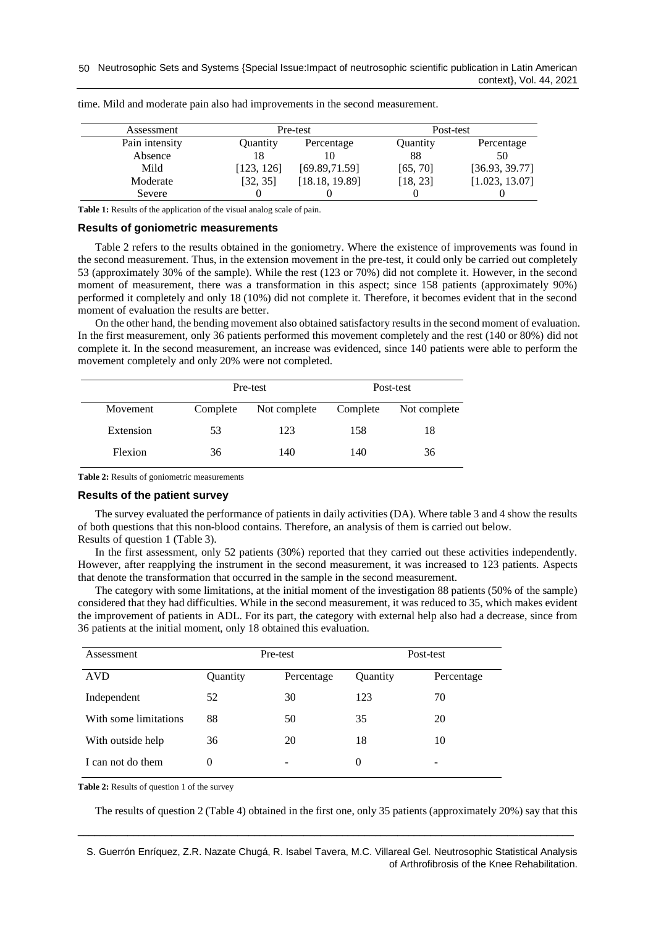| Assessment     | Pre-test   |                | Post-test |                |
|----------------|------------|----------------|-----------|----------------|
| Pain intensity | Quantity   | Percentage     | Quantity  | Percentage     |
| Absence        | 18         |                | 88        | 50             |
| Mild           | [123, 126] | [69.89, 71.59] | [65, 70]  | [36.93, 39.77] |
| Moderate       | [32, 35]   | [18.18, 19.89] | [18, 23]  | [1.023, 13.07] |
| Severe         |            |                |           |                |

time. Mild and moderate pain also had improvements in the second measurement.

Table 1: Results of the application of the visual analog scale of pain.

#### **Results of goniometric measurements**

Table 2 refers to the results obtained in the goniometry. Where the existence of improvements was found in the second measurement. Thus, in the extension movement in the pre-test, it could only be carried out completely 53 (approximately 30% of the sample). While the rest (123 or 70%) did not complete it. However, in the second moment of measurement, there was a transformation in this aspect; since 158 patients (approximately 90%) performed it completely and only 18 (10%) did not complete it. Therefore, it becomes evident that in the second moment of evaluation the results are better.

On the other hand, the bending movement also obtained satisfactory results in the second moment of evaluation. In the first measurement, only 36 patients performed this movement completely and the rest (140 or 80%) did not complete it. In the second measurement, an increase was evidenced, since 140 patients were able to perform the movement completely and only 20% were not completed.

|           |          | Pre-test     |          | Post-test    |  |
|-----------|----------|--------------|----------|--------------|--|
| Movement  | Complete | Not complete | Complete | Not complete |  |
| Extension | 53       | 123          | 158      | 18           |  |
| Flexion   | 36       | 140          | 140      | 36           |  |

**Table 2:** Results of goniometric measurements

#### **Results of the patient survey**

The survey evaluated the performance of patients in daily activities (DA). Where table 3 and 4 show the results of both questions that this non-blood contains. Therefore, an analysis of them is carried out below. Results of question 1 (Table 3).

In the first assessment, only 52 patients (30%) reported that they carried out these activities independently. However, after reapplying the instrument in the second measurement, it was increased to 123 patients. Aspects that denote the transformation that occurred in the sample in the second measurement.

The category with some limitations, at the initial moment of the investigation 88 patients (50% of the sample) considered that they had difficulties. While in the second measurement, it was reduced to 35, which makes evident the improvement of patients in ADL. For its part, the category with external help also had a decrease, since from 36 patients at the initial moment, only 18 obtained this evaluation.

| Assessment            | Pre-test |            | Post-test |            |
|-----------------------|----------|------------|-----------|------------|
| <b>AVD</b>            | Quantity | Percentage | Quantity  | Percentage |
| Independent           | 52       | 30         | 123       | 70         |
| With some limitations | 88       | 50         | 35        | 20         |
| With outside help     | 36       | 20         | 18        | 10         |
| I can not do them     | $\theta$ | -          | $\theta$  | -          |

**Table 2:** Results of question 1 of the survey

The results of question 2 (Table 4) obtained in the first one, only 35 patients (approximately 20%) say that this

S. Guerrón Enríquez, Z.R. Nazate Chugá, R. Isabel Tavera, M.C. Villareal Gel. Neutrosophic Statistical Analysis of Arthrofibrosis of the Knee Rehabilitation.

\_\_\_\_\_\_\_\_\_\_\_\_\_\_\_\_\_\_\_\_\_\_\_\_\_\_\_\_\_\_\_\_\_\_\_\_\_\_\_\_\_\_\_\_\_\_\_\_\_\_\_\_\_\_\_\_\_\_\_\_\_\_\_\_\_\_\_\_\_\_\_\_\_\_\_\_\_\_\_\_\_\_\_\_\_\_\_\_\_\_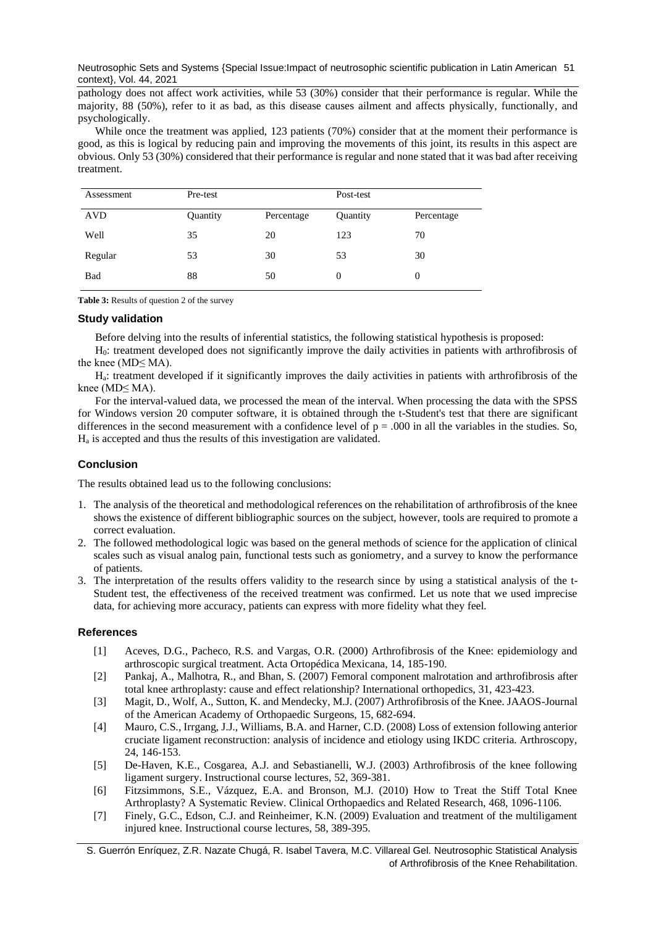Neutrosophic Sets and Systems {Special Issue:Impact of neutrosophic scientific publication in Latin American 51 context}, Vol. 44, 2021

pathology does not affect work activities, while 53 (30%) consider that their performance is regular. While the majority, 88 (50%), refer to it as bad, as this disease causes ailment and affects physically, functionally, and psychologically.

While once the treatment was applied, 123 patients (70%) consider that at the moment their performance is good, as this is logical by reducing pain and improving the movements of this joint, its results in this aspect are obvious. Only 53 (30%) considered that their performance is regular and none stated that it was bad after receiving treatment.

| Assessment | Pre-test |            | Post-test |            |
|------------|----------|------------|-----------|------------|
| AVD        | Quantity | Percentage | Quantity  | Percentage |
| Well       | 35       | 20         | 123       | 70         |
| Regular    | 53       | 30         | 53        | 30         |
| Bad        | 88       | 50         | 0         | $\theta$   |

**Table 3:** Results of question 2 of the survey

# **Study validation**

Before delving into the results of inferential statistics, the following statistical hypothesis is proposed:

H0: treatment developed does not significantly improve the daily activities in patients with arthrofibrosis of the knee (MD≤ MA).

Ha: treatment developed if it significantly improves the daily activities in patients with arthrofibrosis of the knee (MD≤ MA).

For the interval-valued data, we processed the mean of the interval. When processing the data with the SPSS for Windows version 20 computer software, it is obtained through the t-Student's test that there are significant differences in the second measurement with a confidence level of  $p = .000$  in all the variables in the studies. So, H<sup>a</sup> is accepted and thus the results of this investigation are validated.

# **Conclusion**

The results obtained lead us to the following conclusions:

- 1. The analysis of the theoretical and methodological references on the rehabilitation of arthrofibrosis of the knee shows the existence of different bibliographic sources on the subject, however, tools are required to promote a correct evaluation.
- 2. The followed methodological logic was based on the general methods of science for the application of clinical scales such as visual analog pain, functional tests such as goniometry, and a survey to know the performance of patients.
- 3. The interpretation of the results offers validity to the research since by using a statistical analysis of the t-Student test, the effectiveness of the received treatment was confirmed. Let us note that we used imprecise data, for achieving more accuracy, patients can express with more fidelity what they feel.

## **References**

- [1] Aceves, D.G., Pacheco, R.S. and Vargas, O.R. (2000) Arthrofibrosis of the Knee: epidemiology and arthroscopic surgical treatment. Acta Ortopédica Mexicana, 14, 185-190.
- [2] Pankaj, A., Malhotra, R., and Bhan, S. (2007) Femoral component malrotation and arthrofibrosis after total knee arthroplasty: cause and effect relationship? International orthopedics, 31, 423-423.
- [3] Magit, D., Wolf, A., Sutton, K. and Mendecky, M.J. (2007) Arthrofibrosis of the Knee. JAAOS-Journal of the American Academy of Orthopaedic Surgeons, 15, 682-694.
- [4] Mauro, C.S., Irrgang, J.J., Williams, B.A. and Harner, C.D. (2008) Loss of extension following anterior cruciate ligament reconstruction: analysis of incidence and etiology using IKDC criteria. Arthroscopy, 24, 146-153.
- [5] De-Haven, K.E., Cosgarea, A.J. and Sebastianelli, W.J. (2003) Arthrofibrosis of the knee following ligament surgery. Instructional course lectures, 52, 369-381.
- [6] Fitzsimmons, S.E., Vázquez, E.A. and Bronson, M.J. (2010) How to Treat the Stiff Total Knee Arthroplasty? A Systematic Review. Clinical Orthopaedics and Related Research, 468, 1096-1106.
- [7] Finely, G.C., Edson, C.J. and Reinheimer, K.N. (2009) Evaluation and treatment of the multiligament injured knee. Instructional course lectures, 58, 389-395.

S. Guerrón Enríquez, Z.R. Nazate Chugá, R. Isabel Tavera, M.C. Villareal Gel. Neutrosophic Statistical Analysis of Arthrofibrosis of the Knee Rehabilitation.